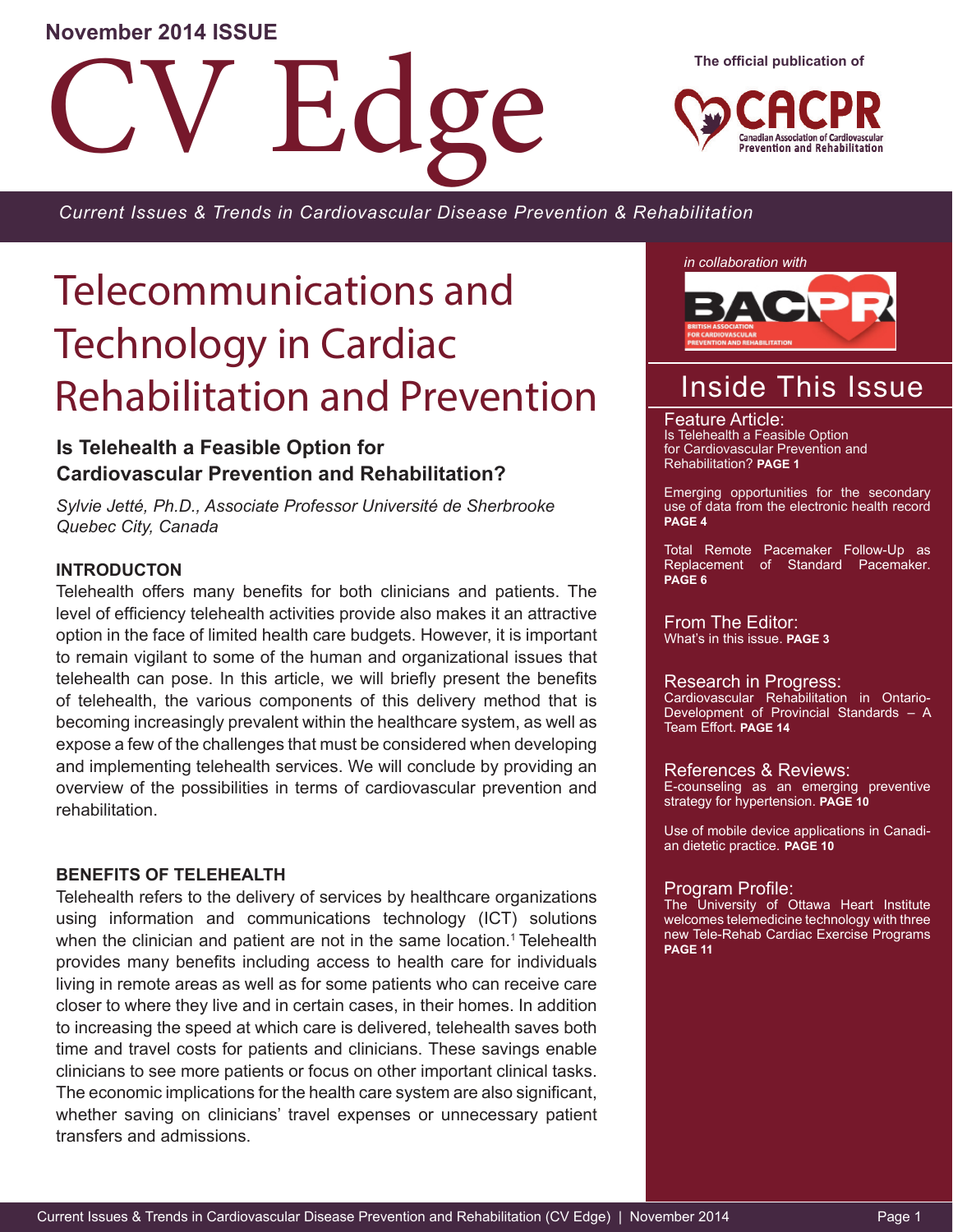## **November 2014 ISSUE**

**Fid** 

**The official publication of**



*Current Issues & Trends in Cardiovascular Disease Prevention & Rehabilitation*

# Telecommunications and Technology in Cardiac Rehabilitation and Prevention

## **Is Telehealth a Feasible Option for Cardiovascular Prevention and Rehabilitation?**

*Sylvie Jetté, Ph.D., Associate Professor Université de Sherbrooke Quebec City, Canada*

## **INTRODUCTON**

Telehealth offers many benefits for both clinicians and patients. The level of efficiency telehealth activities provide also makes it an attractive option in the face of limited health care budgets. However, it is important to remain vigilant to some of the human and organizational issues that telehealth can pose. In this article, we will briefly present the benefits of telehealth, the various components of this delivery method that is becoming increasingly prevalent within the healthcare system, as well as expose a few of the challenges that must be considered when developing and implementing telehealth services. We will conclude by providing an overview of the possibilities in terms of cardiovascular prevention and rehabilitation.

## **BENEFITS OF TELEHEALTH**

Telehealth refers to the delivery of services by healthcare organizations using information and communications technology (ICT) solutions when the clinician and patient are not in the same location.<sup>1</sup> Telehealth provides many benefits including access to health care for individuals living in remote areas as well as for some patients who can receive care closer to where they live and in certain cases, in their homes. In addition to increasing the speed at which care is delivered, telehealth saves both time and travel costs for patients and clinicians. These savings enable clinicians to see more patients or focus on other important clinical tasks. The economic implications for the health care system are also significant, whether saving on clinicians' travel expenses or unnecessary patient transfers and admissions.

*in collaboration with*



## Inside This Issue

Feature Article: Is Telehealth a Feasible Option for Cardiovascular Prevention and Rehabilitation? **PAGE 1**

Emerging opportunities for the secondary use of data from the electronic health record **PAGE 4**

Total Remote Pacemaker Follow-Up as Replacement of Standard Pacemaker. **PAGE 6**

From The Editor: What's in this issue. **PAGE 3**

### Research in Progress:

Cardiovascular Rehabilitation in Ontario-Development of Provincial Standards – A Team Effort. **PAGE 14**

References & Reviews: E-counseling as an emerging preventive strategy for hypertension. **PAGE 10**

Use of mobile device applications in Canadian dietetic practice. **PAGE 10**

### Program Profile:

The University of Ottawa Heart Institute welcomes telemedicine technology with three new Tele-Rehab Cardiac Exercise Programs **PAGE 11**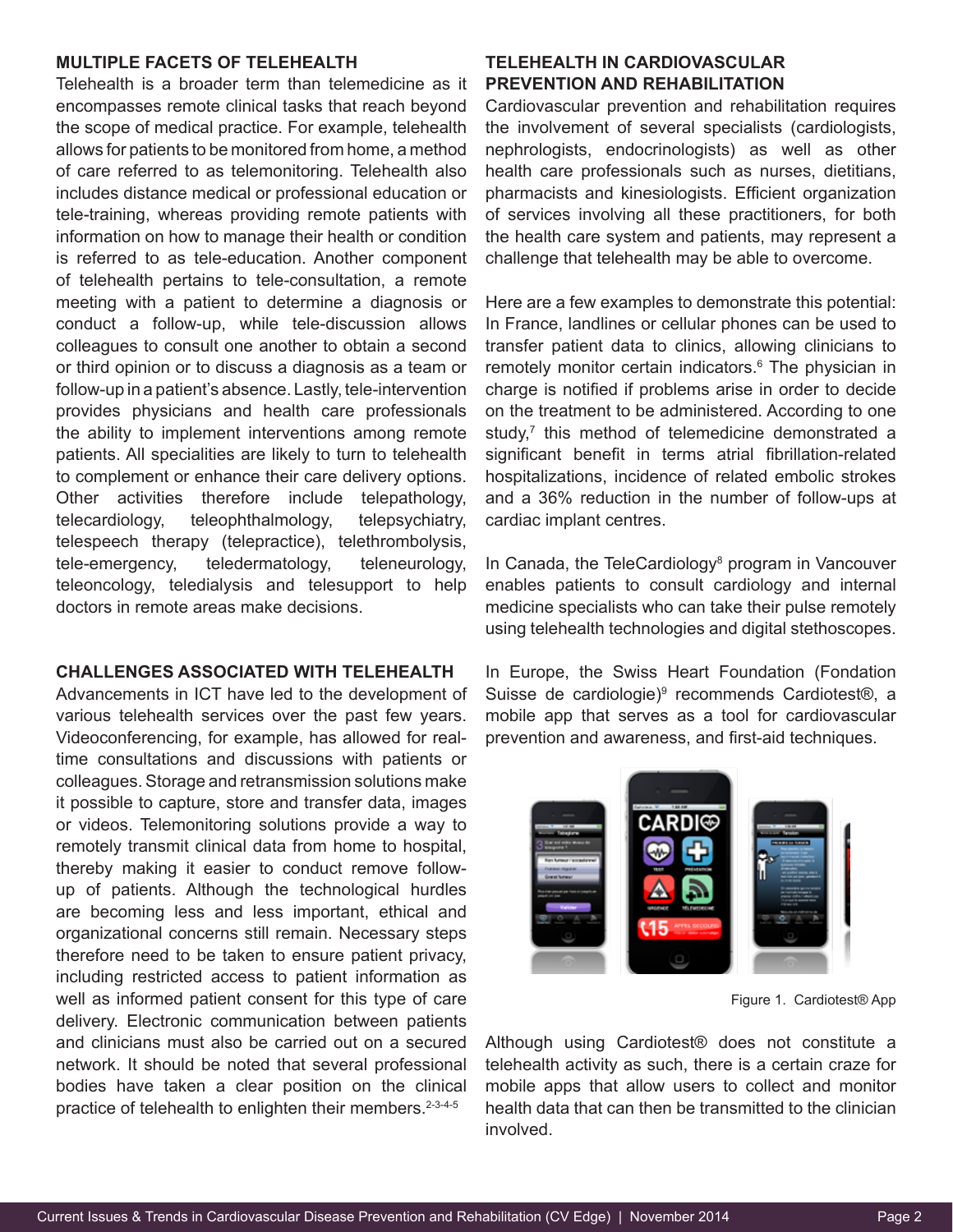## **MULTIPLE FACETS OF TELEHEALTH**

Telehealth is a broader term than telemedicine as it encompasses remote clinical tasks that reach beyond the scope of medical practice. For example, telehealth allows for patients to be monitored from home, a method of care referred to as telemonitoring. Telehealth also includes distance medical or professional education or tele-training, whereas providing remote patients with information on how to manage their health or condition is referred to as tele-education. Another component of telehealth pertains to tele-consultation, a remote meeting with a patient to determine a diagnosis or conduct a follow-up, while tele-discussion allows colleagues to consult one another to obtain a second or third opinion or to discuss a diagnosis as a team or follow-up in a patient's absence. Lastly, tele-intervention provides physicians and health care professionals the ability to implement interventions among remote patients. All specialities are likely to turn to telehealth to complement or enhance their care delivery options. Other activities therefore include telepathology, telecardiology, teleophthalmology, telepsychiatry, telespeech therapy (telepractice), telethrombolysis, tele-emergency, teledermatology, teleneurology, teleoncology, teledialysis and telesupport to help doctors in remote areas make decisions.

## **CHALLENGES ASSOCIATED WITH TELEHEALTH**

Advancements in ICT have led to the development of various telehealth services over the past few years. Videoconferencing, for example, has allowed for realtime consultations and discussions with patients or colleagues. Storage and retransmission solutions make it possible to capture, store and transfer data, images or videos. Telemonitoring solutions provide a way to remotely transmit clinical data from home to hospital, thereby making it easier to conduct remove followup of patients. Although the technological hurdles are becoming less and less important, ethical and organizational concerns still remain. Necessary steps therefore need to be taken to ensure patient privacy, including restricted access to patient information as well as informed patient consent for this type of care delivery. Electronic communication between patients and clinicians must also be carried out on a secured network. It should be noted that several professional bodies have taken a clear position on the clinical practice of telehealth to enlighten their members.<sup>2-3-4-5</sup>

## **TELEHEALTH IN CARDIOVASCULAR PREVENTION AND REHABILITATION**

Cardiovascular prevention and rehabilitation requires the involvement of several specialists (cardiologists, nephrologists, endocrinologists) as well as other health care professionals such as nurses, dietitians, pharmacists and kinesiologists. Efficient organization of services involving all these practitioners, for both the health care system and patients, may represent a challenge that telehealth may be able to overcome.

Here are a few examples to demonstrate this potential: In France, landlines or cellular phones can be used to transfer patient data to clinics, allowing clinicians to remotely monitor certain indicators.<sup>6</sup> The physician in charge is notified if problems arise in order to decide on the treatment to be administered. According to one study,<sup>7</sup> this method of telemedicine demonstrated a significant benefit in terms atrial fibrillation-related hospitalizations, incidence of related embolic strokes and a 36% reduction in the number of follow-ups at cardiac implant centres.

In Canada, the TeleCardiology<sup>8</sup> program in Vancouver enables patients to consult cardiology and internal medicine specialists who can take their pulse remotely using telehealth technologies and digital stethoscopes.

In Europe, the Swiss Heart Foundation (Fondation Suisse de cardiologie)<sup>9</sup> recommends Cardiotest®, a mobile app that serves as a tool for cardiovascular prevention and awareness, and first-aid techniques.



Figure 1. Cardiotest® App

Although using Cardiotest® does not constitute a telehealth activity as such, there is a certain craze for mobile apps that allow users to collect and monitor health data that can then be transmitted to the clinician involved.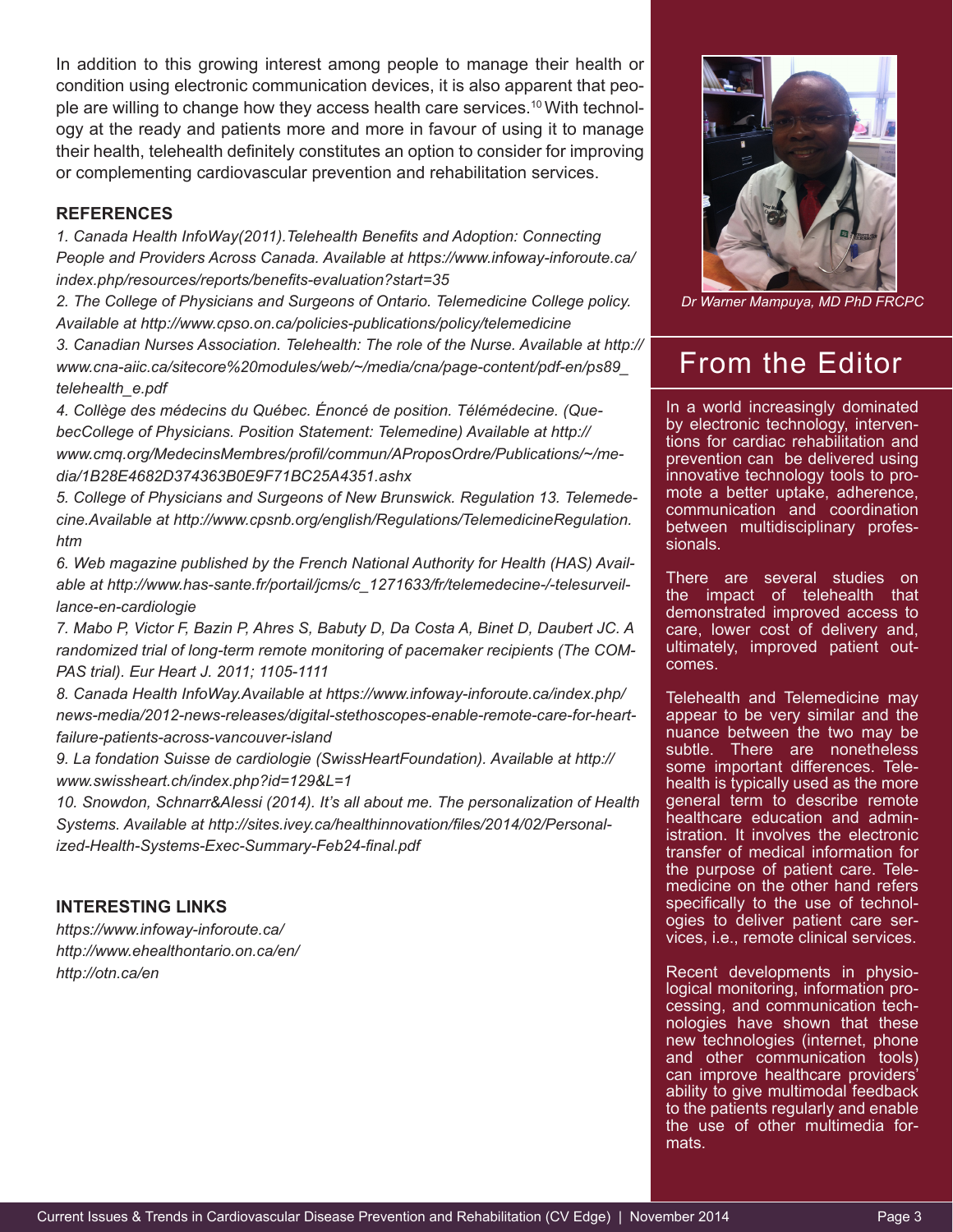In addition to this growing interest among people to manage their health or condition using electronic communication devices, it is also apparent that people are willing to change how they access health care services.10 With technology at the ready and patients more and more in favour of using it to manage their health, telehealth definitely constitutes an option to consider for improving or complementing cardiovascular prevention and rehabilitation services.

## **REFERENCES**

*1. Canada Health InfoWay(2011).Telehealth Benefits and Adoption: Connecting People and Providers Across Canada. Available at https://www.infoway-inforoute.ca/ index.php/resources/reports/benefits-evaluation?start=35*

*2. The College of Physicians and Surgeons of Ontario. Telemedicine College policy. Available at http://www.cpso.on.ca/policies-publications/policy/telemedicine*

*3. Canadian Nurses Association. Telehealth: The role of the Nurse. Available at http:// www.cna-aiic.ca/sitecore%20modules/web/~/media/cna/page-content/pdf-en/ps89\_ telehealth\_e.pdf*

*4. Collège des médecins du Québec. Énoncé de position. Télémédecine. (QuebecCollege of Physicians. Position Statement: Telemedine) Available at http:// www.cmq.org/MedecinsMembres/profil/commun/AProposOrdre/Publications/~/media/1B28E4682D374363B0E9F71BC25A4351.ashx*

*5. College of Physicians and Surgeons of New Brunswick. Regulation 13. Telemedecine.Available at http://www.cpsnb.org/english/Regulations/TelemedicineRegulation. htm*

*6. Web magazine published by the French National Authority for Health (HAS) Available at http://www.has-sante.fr/portail/jcms/c\_1271633/fr/telemedecine-/-telesurveillance-en-cardiologie*

*7. Mabo P, Victor F, Bazin P, Ahres S, Babuty D, Da Costa A, Binet D, Daubert JC. A randomized trial of long-term remote monitoring of pacemaker recipients (The COM-PAS trial). Eur Heart J. 2011; 1105-1111*

*8. Canada Health InfoWay.Available at https://www.infoway-inforoute.ca/index.php/ news-media/2012-news-releases/digital-stethoscopes-enable-remote-care-for-heartfailure-patients-across-vancouver-island*

*9. La fondation Suisse de cardiologie (SwissHeartFoundation). Available at http:// www.swissheart.ch/index.php?id=129&L=1*

*10. Snowdon, Schnarr&Alessi (2014). It's all about me. The personalization of Health Systems. Available at http://sites.ivey.ca/healthinnovation/files/2014/02/Personalized-Health-Systems-Exec-Summary-Feb24-final.pdf*

## **INTERESTING LINKS**

*https://www.infoway-inforoute.ca/ http://www.ehealthontario.on.ca/en/ http://otn.ca/en*



*Dr Warner Mampuya, MD PhD FRCPC*

## From the Editor

In a world increasingly dominated by electronic technology, interventions for cardiac rehabilitation and prevention can be delivered using innovative technology tools to promote a better uptake, adherence, communication and coordination between multidisciplinary professionals.

There are several studies on the impact of telehealth that demonstrated improved access to care, lower cost of delivery and, ultimately, improved patient outcomes.

Telehealth and Telemedicine may appear to be very similar and the nuance between the two may be subtle. There are nonetheless some important differences. Telehealth is typically used as the more general term to describe remote healthcare education and administration. It involves the electronic transfer of medical information for the purpose of patient care. Telemedicine on the other hand refers specifically to the use of technologies to deliver patient care services, i.e., remote clinical services.

Recent developments in physiological monitoring, information processing, and communication technologies have shown that these new technologies (internet, phone and other communication tools) can improve healthcare providers' ability to give multimodal feedback to the patients regularly and enable the use of other multimedia formats.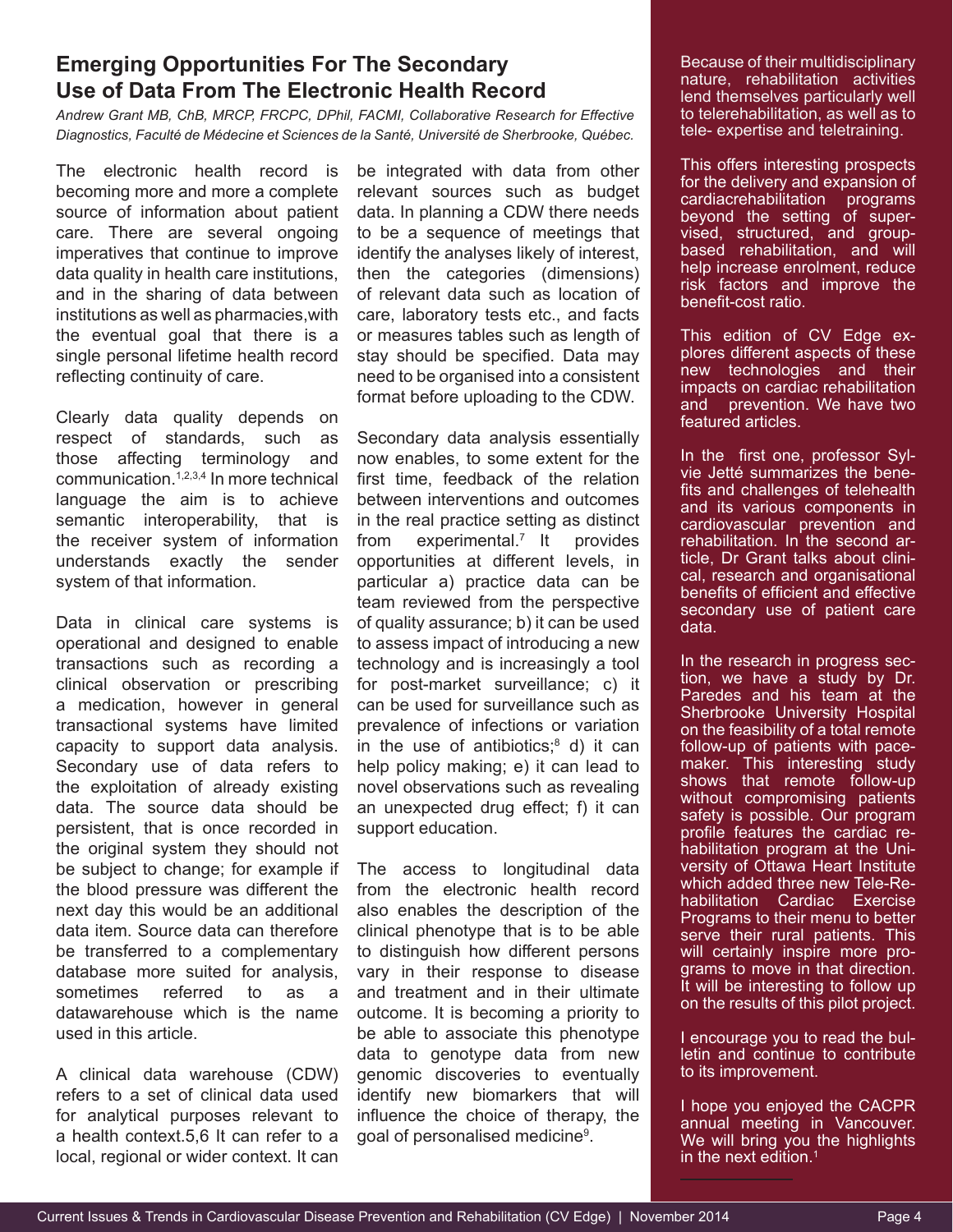## **Emerging Opportunities For The Secondary Use of Data From The Electronic Health Record**

*Andrew Grant MB, ChB, MRCP, FRCPC, DPhil, FACMI, Collaborative Research for Effective Diagnostics, Faculté de Médecine et Sciences de la Santé, Université de Sherbrooke, Québec.*

The electronic health record is becoming more and more a complete source of information about patient care. There are several ongoing imperatives that continue to improve data quality in health care institutions, and in the sharing of data between institutions as well as pharmacies,with the eventual goal that there is a single personal lifetime health record reflecting continuity of care.

Clearly data quality depends on respect of standards, such as those affecting terminology and communication.1,2,3,4 In more technical language the aim is to achieve semantic interoperability, that is the receiver system of information understands exactly the sender system of that information.

Data in clinical care systems is operational and designed to enable transactions such as recording a clinical observation or prescribing a medication, however in general transactional systems have limited capacity to support data analysis. Secondary use of data refers to the exploitation of already existing data. The source data should be persistent, that is once recorded in the original system they should not be subject to change; for example if the blood pressure was different the next day this would be an additional data item. Source data can therefore be transferred to a complementary database more suited for analysis, sometimes referred to as a datawarehouse which is the name used in this article.

A clinical data warehouse (CDW) refers to a set of clinical data used for analytical purposes relevant to a health context.5,6 It can refer to a local, regional or wider context. It can

be integrated with data from other relevant sources such as budget data. In planning a CDW there needs to be a sequence of meetings that identify the analyses likely of interest, then the categories (dimensions) of relevant data such as location of care, laboratory tests etc., and facts or measures tables such as length of stay should be specified. Data may need to be organised into a consistent format before uploading to the CDW.

Secondary data analysis essentially now enables, to some extent for the first time, feedback of the relation between interventions and outcomes in the real practice setting as distinct from experimental.<sup>7</sup> It provides opportunities at different levels, in particular a) practice data can be team reviewed from the perspective of quality assurance; b) it can be used to assess impact of introducing a new technology and is increasingly a tool for post-market surveillance; c) it can be used for surveillance such as prevalence of infections or variation in the use of antibiotics;<sup>8</sup> d) it can help policy making; e) it can lead to novel observations such as revealing an unexpected drug effect; f) it can support education.

The access to longitudinal data from the electronic health record also enables the description of the clinical phenotype that is to be able to distinguish how different persons vary in their response to disease and treatment and in their ultimate outcome. It is becoming a priority to be able to associate this phenotype data to genotype data from new genomic discoveries to eventually identify new biomarkers that will influence the choice of therapy, the goal of personalised medicine<sup>9</sup>.

Because of their multidisciplinary nature, rehabilitation activities lend themselves particularly well to telerehabilitation, as well as to tele- expertise and teletraining.

This offers interesting prospects for the delivery and expansion of cardiacrehabilitation programs beyond the setting of supervised, structured, and groupbased rehabilitation, and will help increase enrolment, reduce risk factors and improve the benefit-cost ratio.

This edition of CV Edge explores different aspects of these new technologies and their impacts on cardiac rehabilitation and prevention. We have two featured articles.

In the first one, professor Sylvie Jetté summarizes the benefits and challenges of telehealth and its various components in cardiovascular prevention and rehabilitation. In the second article, Dr Grant talks about clinical, research and organisational benefits of efficient and effective secondary use of patient care data.

In the research in progress section, we have a study by Dr. Paredes and his team at the **Sherbrooke University Hospital** on the feasibility of a total remote follow-up of patients with pacemaker. This interesting study shows that remote follow-up without compromising patients safety is possible. Our program profile features the cardiac rehabilitation program at the University of Ottawa Heart Institute which added three new Tele-Rehabilitation Cardiac Exercise Programs to their menu to better serve their rural patients. This will certainly inspire more programs to move in that direction. It will be interesting to follow up on the results of this pilot project.

I encourage you to read the bulletin and continue to contribute to its improvement.

I hope you enjoyed the CACPR annual meeting in Vancouver. We will bring you the highlights in the next edition. $<sup>1</sup>$ </sup>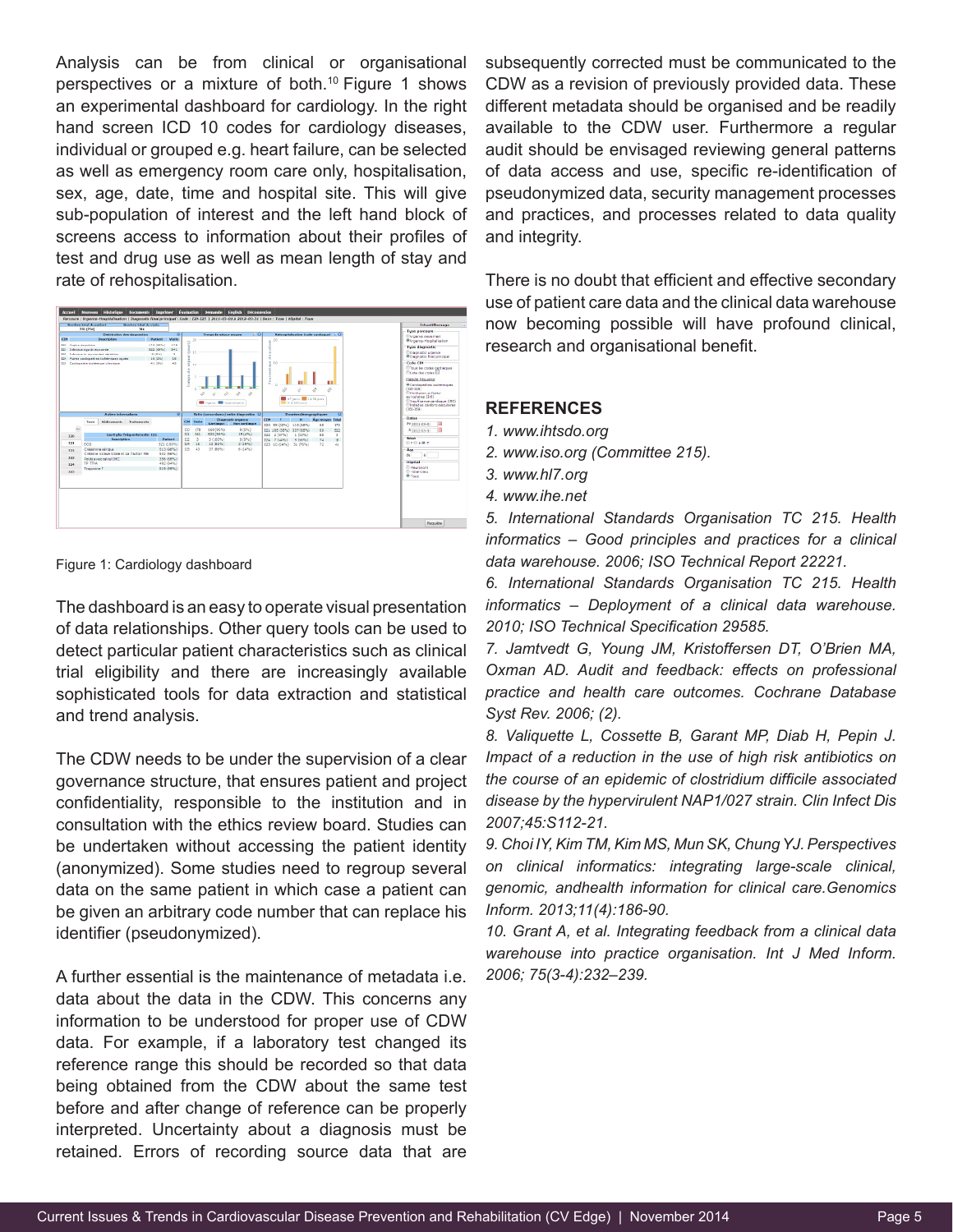Analysis can be from clinical or organisational perspectives or a mixture of both.<sup>10</sup> Figure 1 shows an experimental dashboard for cardiology. In the right hand screen ICD 10 codes for cardiology diseases, individual or grouped e.g. heart failure, can be selected as well as emergency room care only, hospitalisation, sex, age, date, time and hospital site. This will give sub-population of interest and the left hand block of screens access to information about their profiles of test and drug use as well as mean length of stay and rate of rehospitalisation.



Figure 1: Cardiology dashboard

The dashboard is an easy to operate visual presentation of data relationships. Other query tools can be used to detect particular patient characteristics such as clinical trial eligibility and there are increasingly available sophisticated tools for data extraction and statistical and trend analysis.

The CDW needs to be under the supervision of a clear governance structure, that ensures patient and project confidentiality, responsible to the institution and in consultation with the ethics review board. Studies can be undertaken without accessing the patient identity (anonymized). Some studies need to regroup several data on the same patient in which case a patient can be given an arbitrary code number that can replace his identifier (pseudonymized).

A further essential is the maintenance of metadata i.e. data about the data in the CDW. This concerns any information to be understood for proper use of CDW data. For example, if a laboratory test changed its reference range this should be recorded so that data being obtained from the CDW about the same test before and after change of reference can be properly interpreted. Uncertainty about a diagnosis must be retained. Errors of recording source data that are

subsequently corrected must be communicated to the CDW as a revision of previously provided data. These different metadata should be organised and be readily available to the CDW user. Furthermore a regular audit should be envisaged reviewing general patterns of data access and use, specific re-identification of pseudonymized data, security management processes and practices, and processes related to data quality and integrity.

There is no doubt that efficient and effective secondary use of patient care data and the clinical data warehouse now becoming possible will have profound clinical, research and organisational benefit.

## **REFERENCES**

- *1. www.ihtsdo.org*
- *2. www.iso.org (Committee 215).*
- *3. www.hl7.org*
- *4. www.ihe.net*

*5. International Standards Organisation TC 215. Health informatics – Good principles and practices for a clinical data warehouse. 2006; ISO Technical Report 22221.*

*6. International Standards Organisation TC 215. Health informatics – Deployment of a clinical data warehouse. 2010; ISO Technical Specification 29585.*

*7. Jamtvedt G, Young JM, Kristoffersen DT, O'Brien MA, Oxman AD. Audit and feedback: effects on professional practice and health care outcomes. Cochrane Database Syst Rev. 2006; (2).*

*8. Valiquette L, Cossette B, Garant MP, Diab H, Pepin J. Impact of a reduction in the use of high risk antibiotics on the course of an epidemic of clostridium difficile associated disease by the hypervirulent NAP1/027 strain. Clin Infect Dis 2007;45:S112-21.*

*9. Choi IY, Kim TM, Kim MS, Mun SK, Chung YJ. Perspectives on clinical informatics: integrating large-scale clinical, genomic, andhealth information for clinical care.Genomics Inform. 2013;11(4):186-90.*

*10. Grant A, et al. Integrating feedback from a clinical data warehouse into practice organisation. Int J Med Inform. 2006; 75(3-4):232–239.*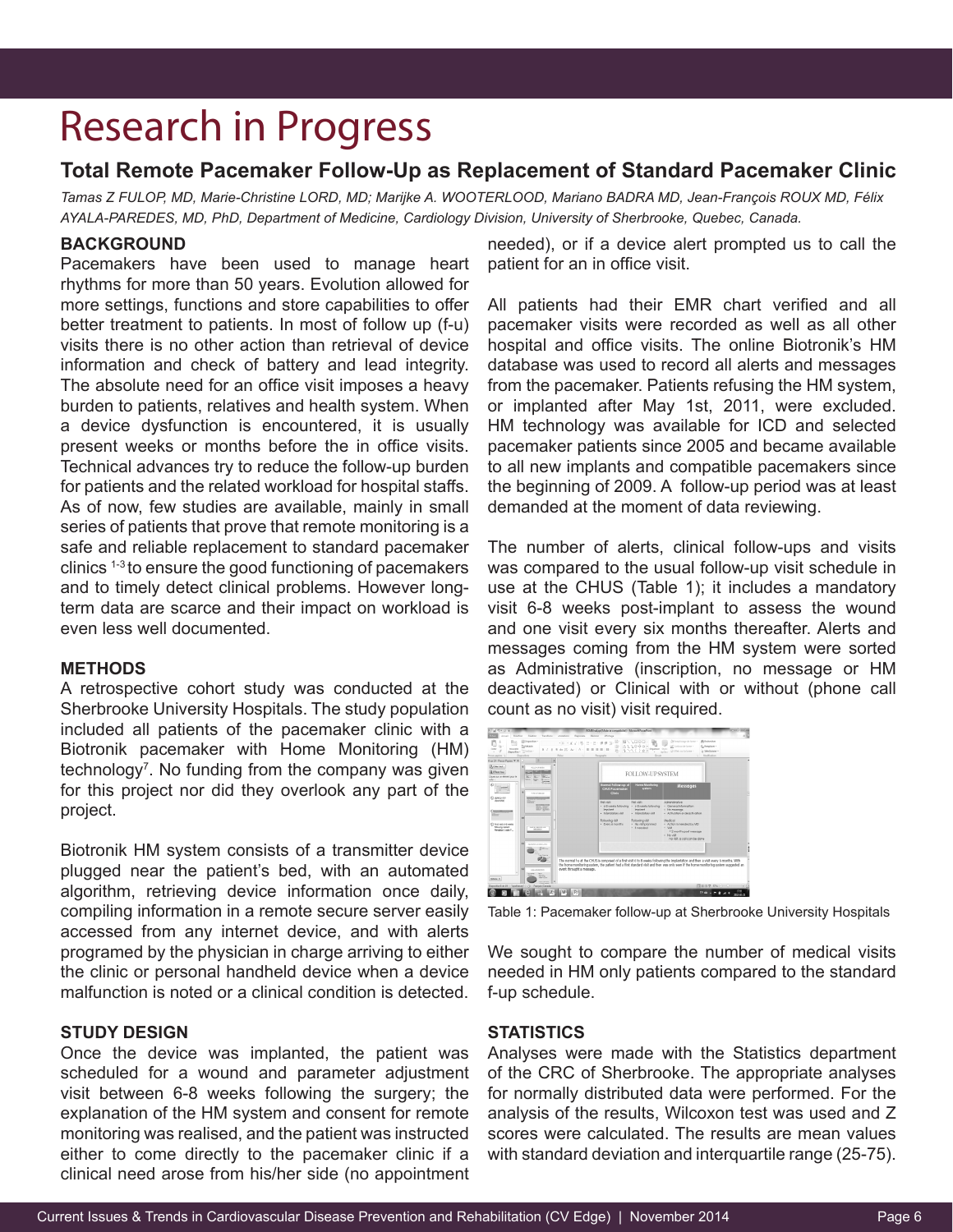# Research in Progress

## **Total Remote Pacemaker Follow-Up as Replacement of Standard Pacemaker Clinic**

*Tamas Z FULOP, MD, Marie-Christine LORD, MD; Marijke A. WOOTERLOOD, Mariano BADRA MD, Jean-François ROUX MD, Félix AYALA-PAREDES, MD, PhD, Department of Medicine, Cardiology Division, University of Sherbrooke, Quebec, Canada.*

## **BACKGROUND**

Pacemakers have been used to manage heart rhythms for more than 50 years. Evolution allowed for more settings, functions and store capabilities to offer better treatment to patients. In most of follow up (f-u) visits there is no other action than retrieval of device information and check of battery and lead integrity. The absolute need for an office visit imposes a heavy burden to patients, relatives and health system. When a device dysfunction is encountered, it is usually present weeks or months before the in office visits. Technical advances try to reduce the follow-up burden for patients and the related workload for hospital staffs. As of now, few studies are available, mainly in small series of patients that prove that remote monitoring is a safe and reliable replacement to standard pacemaker clinics 1-3 to ensure the good functioning of pacemakers and to timely detect clinical problems. However longterm data are scarce and their impact on workload is even less well documented.

## **METHODS**

A retrospective cohort study was conducted at the Sherbrooke University Hospitals. The study population included all patients of the pacemaker clinic with a Biotronik pacemaker with Home Monitoring (HM) technology<sup>7</sup>. No funding from the company was given for this project nor did they overlook any part of the project.

Biotronik HM system consists of a transmitter device plugged near the patient's bed, with an automated algorithm, retrieving device information once daily, compiling information in a remote secure server easily accessed from any internet device, and with alerts programed by the physician in charge arriving to either the clinic or personal handheld device when a device malfunction is noted or a clinical condition is detected.

## **STUDY DESIGN**

Once the device was implanted, the patient was scheduled for a wound and parameter adjustment visit between 6-8 weeks following the surgery; the explanation of the HM system and consent for remote monitoring was realised, and the patient was instructed either to come directly to the pacemaker clinic if a clinical need arose from his/her side (no appointment

needed), or if a device alert prompted us to call the patient for an in office visit.

All patients had their EMR chart verified and all pacemaker visits were recorded as well as all other hospital and office visits. The online Biotronik's HM database was used to record all alerts and messages from the pacemaker. Patients refusing the HM system, or implanted after May 1st, 2011, were excluded. HM technology was available for ICD and selected pacemaker patients since 2005 and became available to all new implants and compatible pacemakers since the beginning of 2009. A follow-up period was at least demanded at the moment of data reviewing.

The number of alerts, clinical follow-ups and visits was compared to the usual follow-up visit schedule in use at the CHUS (Table 1); it includes a mandatory visit 6-8 weeks post-implant to assess the wound and one visit every six months thereafter. Alerts and messages coming from the HM system were sorted as Administrative (inscription, no message or HM deactivated) or Clinical with or without (phone call count as no visit) visit required.



Table 1: Pacemaker follow-up at Sherbrooke University Hospitals

We sought to compare the number of medical visits needed in HM only patients compared to the standard f-up schedule.

### **STATISTICS**

Analyses were made with the Statistics department of the CRC of Sherbrooke. The appropriate analyses for normally distributed data were performed. For the analysis of the results, Wilcoxon test was used and Z scores were calculated. The results are mean values with standard deviation and interquartile range (25-75).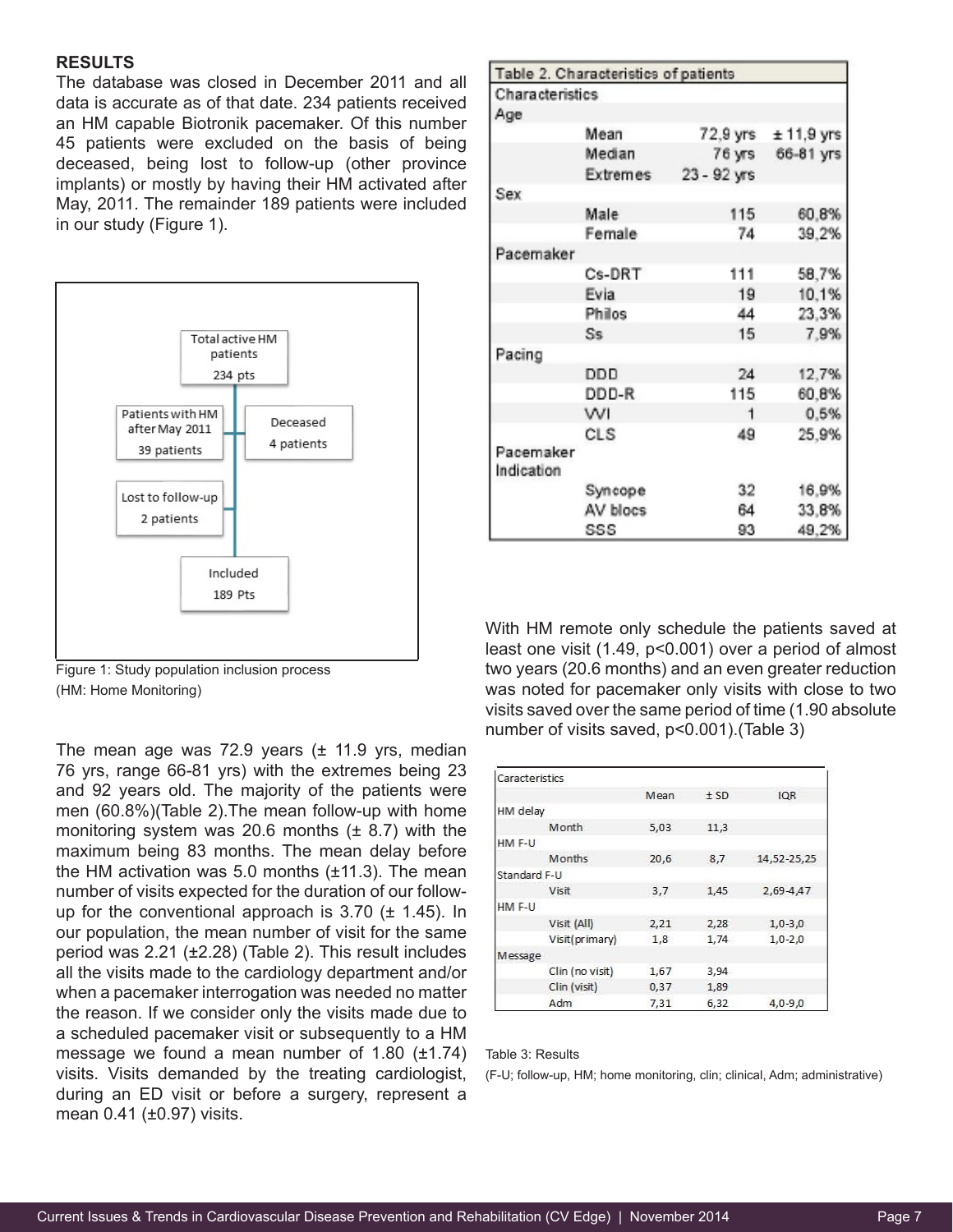#### **RESULTS**

The database was closed in December 2011 and all data is accurate as of that date. 234 patients received an HM capable Biotronik pacemaker. Of this number 45 patients were excluded on the basis of being deceased, being lost to follow-up (other province implants) or mostly by having their HM activated after May, 2011. The remainder 189 patients were included in our study (Figure 1).



Figure 1: Study population inclusion process (HM: Home Monitoring)

The mean age was 72.9 years (± 11.9 yrs, median 76 yrs, range 66-81 yrs) with the extremes being 23 and 92 years old. The majority of the patients were men (60.8%)(Table 2).The mean follow-up with home monitoring system was 20.6 months  $(\pm 8.7)$  with the maximum being 83 months. The mean delay before the HM activation was 5.0 months  $(\pm 11.3)$ . The mean number of visits expected for the duration of our followup for the conventional approach is  $3.70$  ( $\pm$  1.45). In our population, the mean number of visit for the same period was 2.21 (±2.28) (Table 2). This result includes all the visits made to the cardiology department and/or when a pacemaker interrogation was needed no matter the reason. If we consider only the visits made due to a scheduled pacemaker visit or subsequently to a HM message we found a mean number of 1.80  $(\pm 1.74)$ visits. Visits demanded by the treating cardiologist, during an ED visit or before a surgery, represent a mean 0.41 (±0.97) visits.

| <b>Characteristics</b>  |          |             |                                           |
|-------------------------|----------|-------------|-------------------------------------------|
| Age                     |          |             |                                           |
|                         | Mean     |             | $72,9 \text{ yrs}$ $\pm 11,9 \text{ yrs}$ |
|                         | Median   | 76 yrs      | 66-81 yrs                                 |
|                         | Extremes | 23 - 92 yrs |                                           |
| Sex                     |          |             |                                           |
|                         | Male     | 115         | 60.8%                                     |
|                         | Female   | 74          | 39,2%                                     |
| Pacemaker               |          |             |                                           |
|                         | Cs-DRT   | 111         | 58,7%                                     |
|                         | Evia     | 19          | 10,1%                                     |
|                         | Philos   | 44          | 23,3%                                     |
|                         | Ss       | 15          | 7,9%                                      |
| Pacing                  |          |             |                                           |
|                         | DDD      | 24          | 12,7%                                     |
|                         | DDD-R    | 115         | 60.8%                                     |
|                         | WI       | 1           | 0,5%                                      |
|                         | CLS      | 49          | 25,9%                                     |
| Pacemaker<br>Indication |          |             |                                           |
|                         | Syncope  | 32          | 16,9%                                     |
|                         | AV blocs | 64          | 33,8%                                     |
|                         | SSS      | 93          | 49.2%                                     |

With HM remote only schedule the patients saved at least one visit (1.49, p<0.001) over a period of almost two years (20.6 months) and an even greater reduction was noted for pacemaker only visits with close to two visits saved over the same period of time (1.90 absolute number of visits saved, p<0.001).(Table 3)

| Caracteristics |                 |      |      |             |
|----------------|-----------------|------|------|-------------|
|                |                 | Mean | ± SD | <b>IQR</b>  |
| HM delay       |                 |      |      |             |
|                | Month           | 5,03 | 11,3 |             |
| HM F-U         |                 |      |      |             |
|                | Months          | 20.6 | 8,7  | 14,52-25,25 |
| Standard F-U   |                 |      |      |             |
|                | Visit           | 3,7  | 1.45 | 2,69-4,47   |
| HM F-U         |                 |      |      |             |
|                | Visit (All)     | 2,21 | 2,28 | $1,0-3,0$   |
|                | Visit(primary)  | 1,8  | 1,74 | $1,0-2,0$   |
| Message        |                 |      |      |             |
|                | Clin (no visit) | 1,67 | 3,94 |             |
|                | Clin (visit)    | 0,37 | 1,89 |             |
|                | Adm             | 7,31 | 6,32 | $4,0-9,0$   |

Table 3: Results

(F-U; follow-up, HM; home monitoring, clin; clinical, Adm; administrative)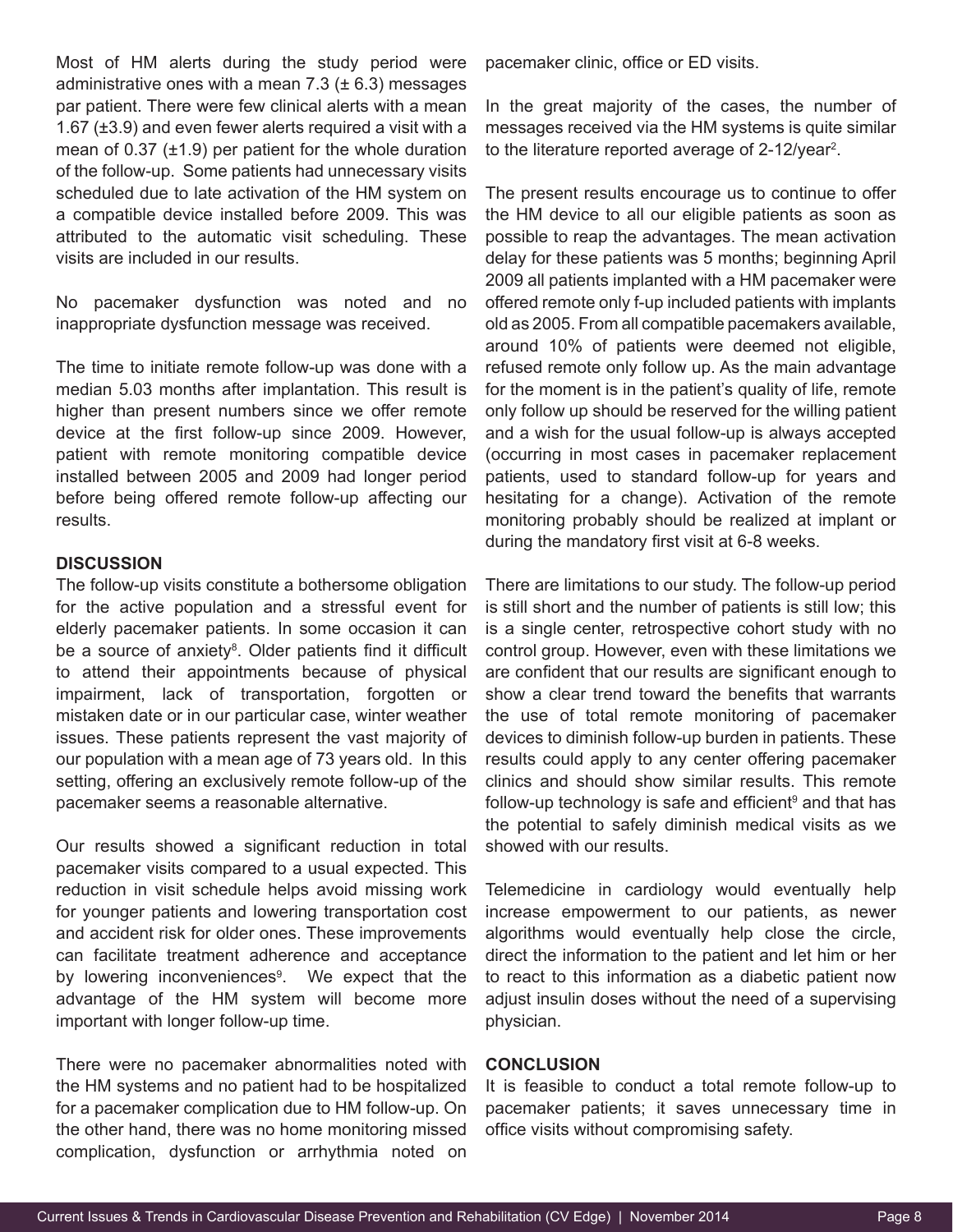Most of HM alerts during the study period were administrative ones with a mean  $7.3$  ( $\pm$  6.3) messages par patient. There were few clinical alerts with a mean 1.67 (±3.9) and even fewer alerts required a visit with a mean of  $0.37$  ( $\pm$ 1.9) per patient for the whole duration of the follow-up. Some patients had unnecessary visits scheduled due to late activation of the HM system on a compatible device installed before 2009. This was attributed to the automatic visit scheduling. These visits are included in our results.

No pacemaker dysfunction was noted and no inappropriate dysfunction message was received.

The time to initiate remote follow-up was done with a median 5.03 months after implantation. This result is higher than present numbers since we offer remote device at the first follow-up since 2009. However, patient with remote monitoring compatible device installed between 2005 and 2009 had longer period before being offered remote follow-up affecting our results.

## **DISCUSSION**

The follow-up visits constitute a bothersome obligation for the active population and a stressful event for elderly pacemaker patients. In some occasion it can be a source of anxiety<sup>8</sup>. Older patients find it difficult to attend their appointments because of physical impairment, lack of transportation, forgotten or mistaken date or in our particular case, winter weather issues. These patients represent the vast majority of our population with a mean age of 73 years old. In this setting, offering an exclusively remote follow-up of the pacemaker seems a reasonable alternative.

Our results showed a significant reduction in total pacemaker visits compared to a usual expected. This reduction in visit schedule helps avoid missing work for younger patients and lowering transportation cost and accident risk for older ones. These improvements can facilitate treatment adherence and acceptance by lowering inconveniences<sup>9</sup>. We expect that the advantage of the HM system will become more important with longer follow-up time.

There were no pacemaker abnormalities noted with the HM systems and no patient had to be hospitalized for a pacemaker complication due to HM follow-up. On the other hand, there was no home monitoring missed complication, dysfunction or arrhythmia noted on

pacemaker clinic, office or ED visits.

In the great majority of the cases, the number of messages received via the HM systems is quite similar to the literature reported average of 2-12/year<sup>2</sup>.

The present results encourage us to continue to offer the HM device to all our eligible patients as soon as possible to reap the advantages. The mean activation delay for these patients was 5 months; beginning April 2009 all patients implanted with a HM pacemaker were offered remote only f-up included patients with implants old as 2005. From all compatible pacemakers available, around 10% of patients were deemed not eligible, refused remote only follow up. As the main advantage for the moment is in the patient's quality of life, remote only follow up should be reserved for the willing patient and a wish for the usual follow-up is always accepted (occurring in most cases in pacemaker replacement patients, used to standard follow-up for years and hesitating for a change). Activation of the remote monitoring probably should be realized at implant or during the mandatory first visit at 6-8 weeks.

There are limitations to our study. The follow-up period is still short and the number of patients is still low; this is a single center, retrospective cohort study with no control group. However, even with these limitations we are confident that our results are significant enough to show a clear trend toward the benefits that warrants the use of total remote monitoring of pacemaker devices to diminish follow-up burden in patients. These results could apply to any center offering pacemaker clinics and should show similar results. This remote follow-up technology is safe and efficient<sup>9</sup> and that has the potential to safely diminish medical visits as we showed with our results.

Telemedicine in cardiology would eventually help increase empowerment to our patients, as newer algorithms would eventually help close the circle, direct the information to the patient and let him or her to react to this information as a diabetic patient now adjust insulin doses without the need of a supervising physician.

## **CONCLUSION**

It is feasible to conduct a total remote follow-up to pacemaker patients; it saves unnecessary time in office visits without compromising safety.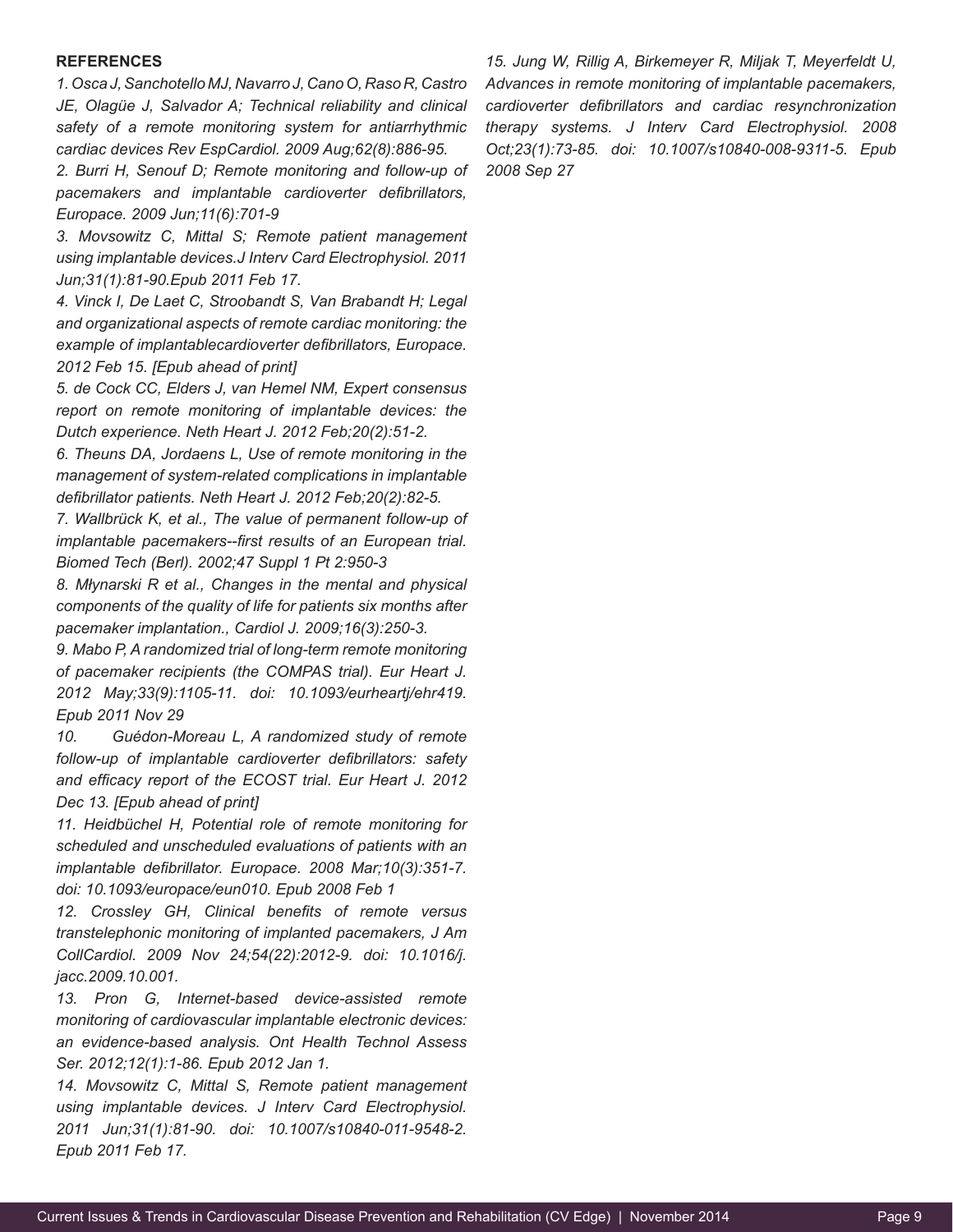#### **REFERENCES**

*1. Osca J, Sanchotello MJ, Navarro J, Cano O, Raso R, Castro JE, Olagüe J, Salvador A; Technical reliability and clinical safety of a remote monitoring system for antiarrhythmic cardiac devices Rev EspCardiol. 2009 Aug;62(8):886-95.*

*2. Burri H, Senouf D; Remote monitoring and follow-up of pacemakers and implantable cardioverter defibrillators, Europace. 2009 Jun;11(6):701-9*

*3. Movsowitz C, Mittal S; Remote patient management using implantable devices.J Interv Card Electrophysiol. 2011 Jun;31(1):81-90.Epub 2011 Feb 17.*

*4. Vinck I, De Laet C, Stroobandt S, Van Brabandt H; Legal and organizational aspects of remote cardiac monitoring: the example of implantablecardioverter defibrillators, Europace. 2012 Feb 15. [Epub ahead of print]*

*5. de Cock CC, Elders J, van Hemel NM, Expert consensus report on remote monitoring of implantable devices: the Dutch experience. Neth Heart J. 2012 Feb;20(2):51-2.*

*6. Theuns DA, Jordaens L, Use of remote monitoring in the management of system-related complications in implantable defibrillator patients. Neth Heart J. 2012 Feb;20(2):82-5.*

*7. Wallbrück K, et al., The value of permanent follow-up of implantable pacemakers--first results of an European trial. Biomed Tech (Berl). 2002;47 Suppl 1 Pt 2:950-3*

*8. Młynarski R et al., Changes in the mental and physical components of the quality of life for patients six months after pacemaker implantation., Cardiol J. 2009;16(3):250-3.*

*9. Mabo P, A randomized trial of long-term remote monitoring of pacemaker recipients (the COMPAS trial). Eur Heart J. 2012 May;33(9):1105-11. doi: 10.1093/eurheartj/ehr419. Epub 2011 Nov 29*

*10. Guédon-Moreau L, A randomized study of remote follow-up of implantable cardioverter defibrillators: safety and efficacy report of the ECOST trial. Eur Heart J. 2012 Dec 13. [Epub ahead of print]*

*11. Heidbüchel H, Potential role of remote monitoring for scheduled and unscheduled evaluations of patients with an implantable defibrillator. Europace. 2008 Mar;10(3):351-7. doi: 10.1093/europace/eun010. Epub 2008 Feb 1*

*12. Crossley GH, Clinical benefits of remote versus transtelephonic monitoring of implanted pacemakers, J Am CollCardiol. 2009 Nov 24;54(22):2012-9. doi: 10.1016/j. jacc.2009.10.001.*

*13. Pron G, Internet-based device-assisted remote monitoring of cardiovascular implantable electronic devices: an evidence-based analysis. Ont Health Technol Assess Ser. 2012;12(1):1-86. Epub 2012 Jan 1.*

*14. Movsowitz C, Mittal S, Remote patient management using implantable devices. J Interv Card Electrophysiol. 2011 Jun;31(1):81-90. doi: 10.1007/s10840-011-9548-2. Epub 2011 Feb 17.*

*15. Jung W, Rillig A, Birkemeyer R, Miljak T, Meyerfeldt U, Advances in remote monitoring of implantable pacemakers, cardioverter defibrillators and cardiac resynchronization therapy systems. J Interv Card Electrophysiol. 2008 Oct;23(1):73-85. doi: 10.1007/s10840-008-9311-5. Epub 2008 Sep 27*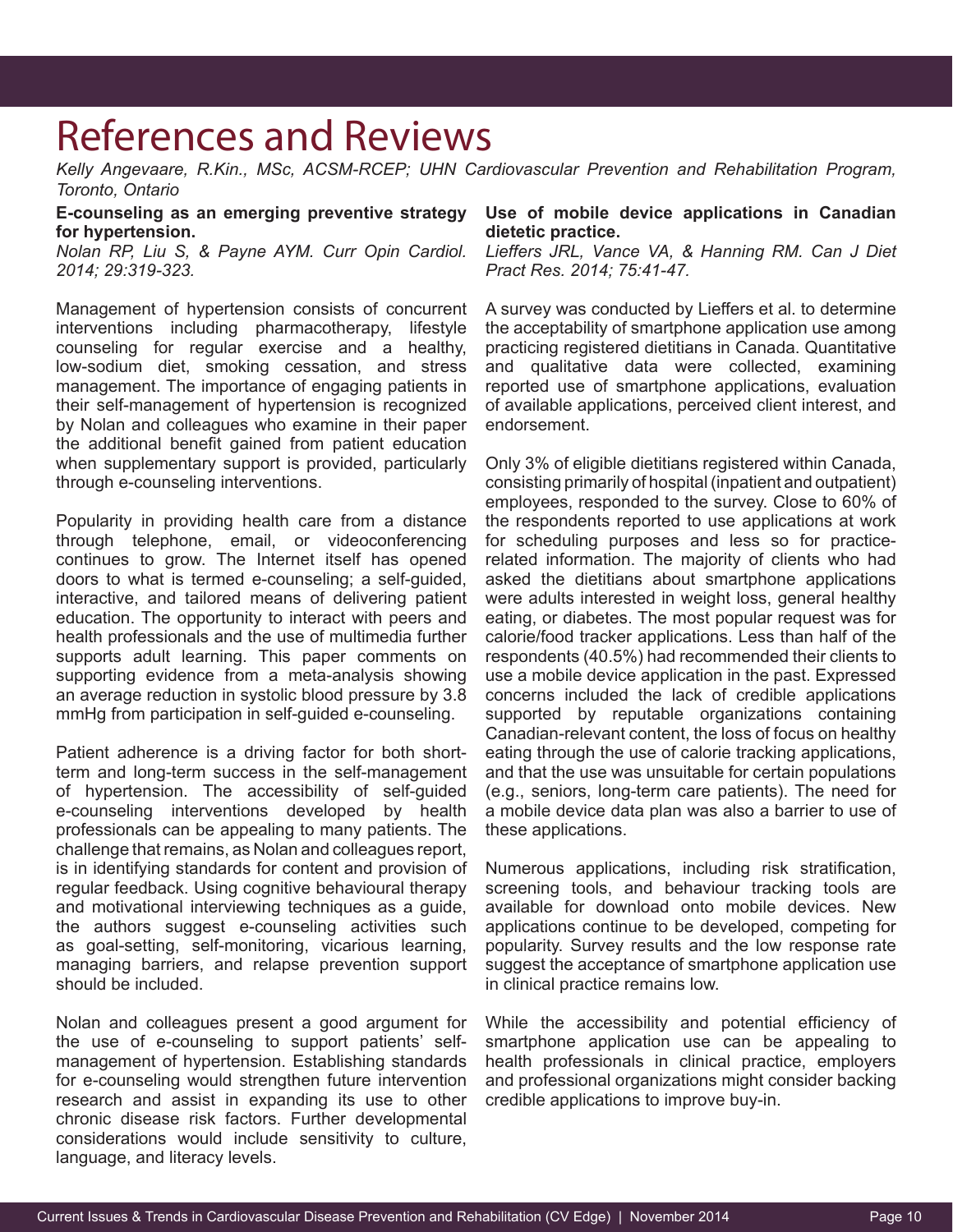## References and Reviews

*Kelly Angevaare, R.Kin., MSc, ACSM-RCEP; UHN Cardiovascular Prevention and Rehabilitation Program, Toronto, Ontario*

**E-counseling as an emerging preventive strategy for hypertension.**

*Nolan RP, Liu S, & Payne AYM. Curr Opin Cardiol. 2014; 29:319-323.*

Management of hypertension consists of concurrent interventions including pharmacotherapy, lifestyle counseling for regular exercise and a healthy, low-sodium diet, smoking cessation, and stress management. The importance of engaging patients in their self-management of hypertension is recognized by Nolan and colleagues who examine in their paper the additional benefit gained from patient education when supplementary support is provided, particularly through e-counseling interventions.

Popularity in providing health care from a distance through telephone, email, or videoconferencing continues to grow. The Internet itself has opened doors to what is termed e-counseling; a self-guided, interactive, and tailored means of delivering patient education. The opportunity to interact with peers and health professionals and the use of multimedia further supports adult learning. This paper comments on supporting evidence from a meta-analysis showing an average reduction in systolic blood pressure by 3.8 mmHg from participation in self-guided e-counseling.

Patient adherence is a driving factor for both shortterm and long-term success in the self-management of hypertension. The accessibility of self-guided e-counseling interventions developed by health professionals can be appealing to many patients. The challenge that remains, as Nolan and colleagues report, is in identifying standards for content and provision of regular feedback. Using cognitive behavioural therapy and motivational interviewing techniques as a guide, the authors suggest e-counseling activities such as goal-setting, self-monitoring, vicarious learning, managing barriers, and relapse prevention support should be included.

Nolan and colleagues present a good argument for the use of e-counseling to support patients' selfmanagement of hypertension. Establishing standards for e-counseling would strengthen future intervention research and assist in expanding its use to other chronic disease risk factors. Further developmental considerations would include sensitivity to culture, language, and literacy levels.

## **Use of mobile device applications in Canadian dietetic practice.**

*Lieffers JRL, Vance VA, & Hanning RM. Can J Diet Pract Res. 2014; 75:41-47.*

A survey was conducted by Lieffers et al. to determine the acceptability of smartphone application use among practicing registered dietitians in Canada. Quantitative and qualitative data were collected, examining reported use of smartphone applications, evaluation of available applications, perceived client interest, and endorsement.

Only 3% of eligible dietitians registered within Canada, consisting primarily of hospital (inpatient and outpatient) employees, responded to the survey. Close to 60% of the respondents reported to use applications at work for scheduling purposes and less so for practicerelated information. The majority of clients who had asked the dietitians about smartphone applications were adults interested in weight loss, general healthy eating, or diabetes. The most popular request was for calorie/food tracker applications. Less than half of the respondents (40.5%) had recommended their clients to use a mobile device application in the past. Expressed concerns included the lack of credible applications supported by reputable organizations containing Canadian-relevant content, the loss of focus on healthy eating through the use of calorie tracking applications, and that the use was unsuitable for certain populations (e.g., seniors, long-term care patients). The need for a mobile device data plan was also a barrier to use of these applications.

Numerous applications, including risk stratification, screening tools, and behaviour tracking tools are available for download onto mobile devices. New applications continue to be developed, competing for popularity. Survey results and the low response rate suggest the acceptance of smartphone application use in clinical practice remains low.

While the accessibility and potential efficiency of smartphone application use can be appealing to health professionals in clinical practice, employers and professional organizations might consider backing credible applications to improve buy-in.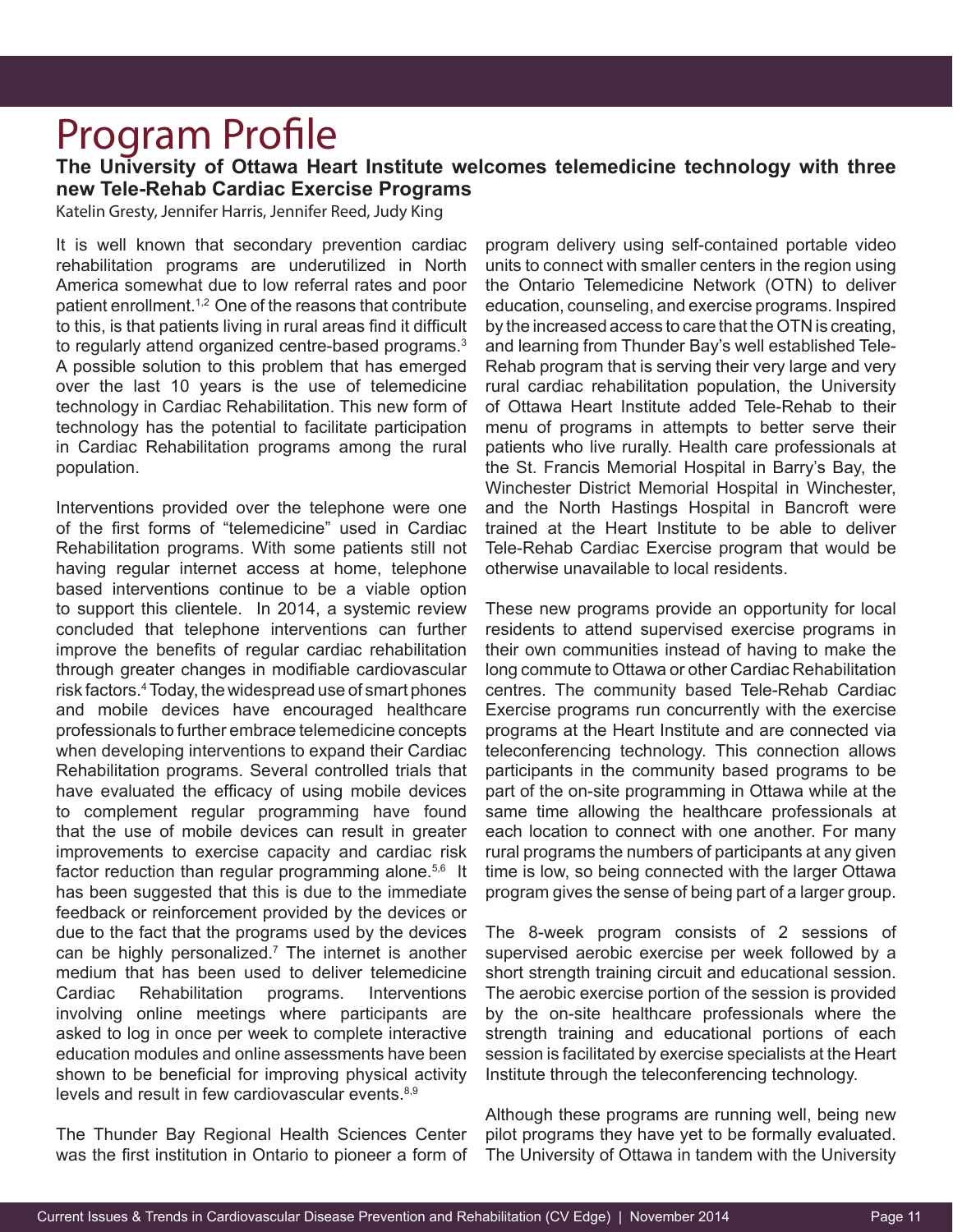## Program Profile

**The University of Ottawa Heart Institute welcomes telemedicine technology with three new Tele-Rehab Cardiac Exercise Programs** 

Katelin Gresty, Jennifer Harris, Jennifer Reed, Judy King

It is well known that secondary prevention cardiac rehabilitation programs are underutilized in North America somewhat due to low referral rates and poor patient enrollment.<sup>1,2</sup> One of the reasons that contribute to this, is that patients living in rural areas find it difficult to regularly attend organized centre-based programs.<sup>3</sup> A possible solution to this problem that has emerged over the last 10 years is the use of telemedicine technology in Cardiac Rehabilitation. This new form of technology has the potential to facilitate participation in Cardiac Rehabilitation programs among the rural population.

Interventions provided over the telephone were one of the first forms of "telemedicine" used in Cardiac Rehabilitation programs. With some patients still not having regular internet access at home, telephone based interventions continue to be a viable option to support this clientele. In 2014, a systemic review concluded that telephone interventions can further improve the benefits of regular cardiac rehabilitation through greater changes in modifiable cardiovascular risk factors.4 Today, the widespread use of smart phones and mobile devices have encouraged healthcare professionals to further embrace telemedicine concepts when developing interventions to expand their Cardiac Rehabilitation programs. Several controlled trials that have evaluated the efficacy of using mobile devices to complement regular programming have found that the use of mobile devices can result in greater improvements to exercise capacity and cardiac risk factor reduction than regular programming alone.<sup>5,6</sup> It has been suggested that this is due to the immediate feedback or reinforcement provided by the devices or due to the fact that the programs used by the devices can be highly personalized.<sup>7</sup> The internet is another medium that has been used to deliver telemedicine Cardiac Rehabilitation programs. Interventions involving online meetings where participants are asked to log in once per week to complete interactive education modules and online assessments have been shown to be beneficial for improving physical activity levels and result in few cardiovascular events.<sup>8,9</sup>

The Thunder Bay Regional Health Sciences Center was the first institution in Ontario to pioneer a form of

program delivery using self-contained portable video units to connect with smaller centers in the region using the Ontario Telemedicine Network (OTN) to deliver education, counseling, and exercise programs. Inspired by the increased access to care that the OTN is creating, and learning from Thunder Bay's well established Tele-Rehab program that is serving their very large and very rural cardiac rehabilitation population, the University of Ottawa Heart Institute added Tele-Rehab to their menu of programs in attempts to better serve their patients who live rurally. Health care professionals at the St. Francis Memorial Hospital in Barry's Bay, the Winchester District Memorial Hospital in Winchester, and the North Hastings Hospital in Bancroft were trained at the Heart Institute to be able to deliver Tele-Rehab Cardiac Exercise program that would be otherwise unavailable to local residents.

These new programs provide an opportunity for local residents to attend supervised exercise programs in their own communities instead of having to make the long commute to Ottawa or other Cardiac Rehabilitation centres. The community based Tele-Rehab Cardiac Exercise programs run concurrently with the exercise programs at the Heart Institute and are connected via teleconferencing technology. This connection allows participants in the community based programs to be part of the on-site programming in Ottawa while at the same time allowing the healthcare professionals at each location to connect with one another. For many rural programs the numbers of participants at any given time is low, so being connected with the larger Ottawa program gives the sense of being part of a larger group.

The 8-week program consists of 2 sessions of supervised aerobic exercise per week followed by a short strength training circuit and educational session. The aerobic exercise portion of the session is provided by the on-site healthcare professionals where the strength training and educational portions of each session is facilitated by exercise specialists at the Heart Institute through the teleconferencing technology.

Although these programs are running well, being new pilot programs they have yet to be formally evaluated. The University of Ottawa in tandem with the University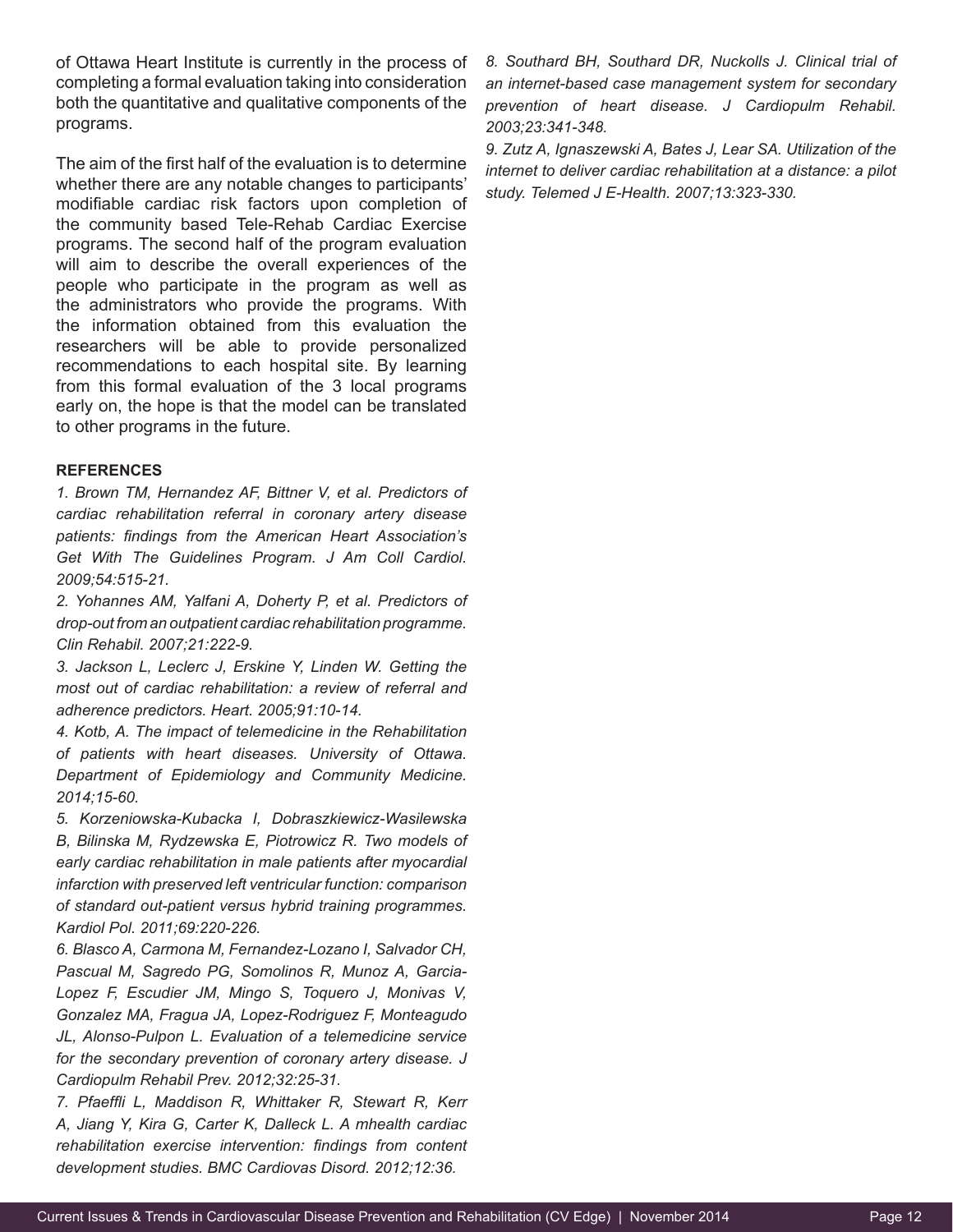of Ottawa Heart Institute is currently in the process of completing a formal evaluation taking into consideration both the quantitative and qualitative components of the programs.

The aim of the first half of the evaluation is to determine whether there are any notable changes to participants' modifiable cardiac risk factors upon completion of the community based Tele-Rehab Cardiac Exercise programs. The second half of the program evaluation will aim to describe the overall experiences of the people who participate in the program as well as the administrators who provide the programs. With the information obtained from this evaluation the researchers will be able to provide personalized recommendations to each hospital site. By learning from this formal evaluation of the 3 local programs early on, the hope is that the model can be translated to other programs in the future.

#### **REFERENCES**

*1. Brown TM, Hernandez AF, Bittner V, et al. Predictors of cardiac rehabilitation referral in coronary artery disease patients: findings from the American Heart Association's Get With The Guidelines Program. J Am Coll Cardiol. 2009;54:515-21.*

*2. Yohannes AM, Yalfani A, Doherty P, et al. Predictors of drop-out from an outpatient cardiac rehabilitation programme. Clin Rehabil. 2007;21:222-9.*

*3. Jackson L, Leclerc J, Erskine Y, Linden W. Getting the most out of cardiac rehabilitation: a review of referral and adherence predictors. Heart. 2005;91:10-14.*

*4. Kotb, A. The impact of telemedicine in the Rehabilitation of patients with heart diseases. University of Ottawa. Department of Epidemiology and Community Medicine. 2014;15-60.*

*5. Korzeniowska-Kubacka I, Dobraszkiewicz-Wasilewska B, Bilinska M, Rydzewska E, Piotrowicz R. Two models of early cardiac rehabilitation in male patients after myocardial infarction with preserved left ventricular function: comparison of standard out-patient versus hybrid training programmes. Kardiol Pol. 2011;69:220-226.*

*6. Blasco A, Carmona M, Fernandez-Lozano I, Salvador CH, Pascual M, Sagredo PG, Somolinos R, Munoz A, Garcia-Lopez F, Escudier JM, Mingo S, Toquero J, Monivas V, Gonzalez MA, Fragua JA, Lopez-Rodriguez F, Monteagudo JL, Alonso-Pulpon L. Evaluation of a telemedicine service for the secondary prevention of coronary artery disease. J Cardiopulm Rehabil Prev. 2012;32:25-31.*

*7. Pfaeffli L, Maddison R, Whittaker R, Stewart R, Kerr A, Jiang Y, Kira G, Carter K, Dalleck L. A mhealth cardiac rehabilitation exercise intervention: findings from content development studies. BMC Cardiovas Disord. 2012;12:36.*

*8. Southard BH, Southard DR, Nuckolls J. Clinical trial of an internet-based case management system for secondary prevention of heart disease. J Cardiopulm Rehabil. 2003;23:341-348.*

*9. Zutz A, Ignaszewski A, Bates J, Lear SA. Utilization of the internet to deliver cardiac rehabilitation at a distance: a pilot study. Telemed J E-Health. 2007;13:323-330.*